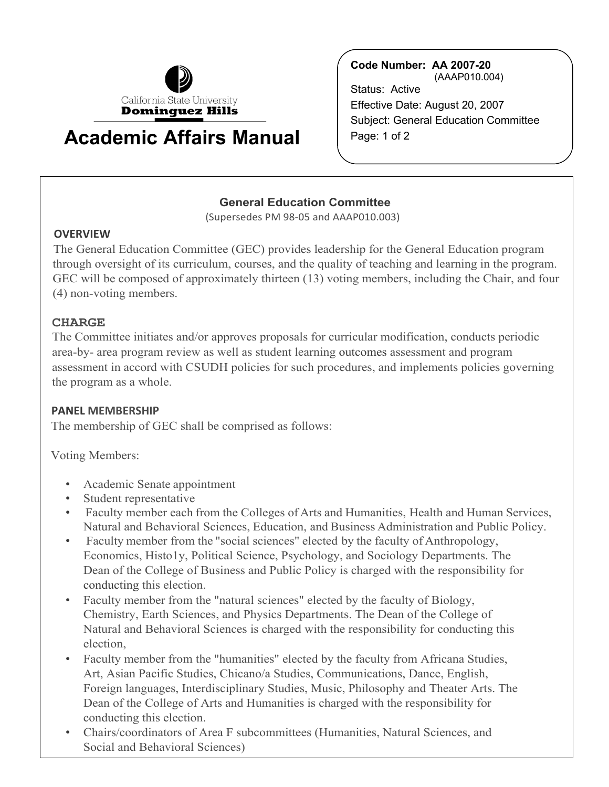

# **Academic Affairs Manual**  $\left\{ \begin{array}{c} \mathsf{Page: 1 of 2} \end{array} \right.$

**Code Number: AA 2007-20** (AAAP010.004) Status: Active Effective Date: August 20, 2007 Subject: General Education Committee

# **General Education Committee**

(Supersedes PM 98-05 and AAAP010.003)

### **OVERVIEW**

The General Education Committee (GEC) provides leadership for the General Education program through oversight of its curriculum, courses, and the quality of teaching and learning in the program. GEC will be composed of approximately thirteen (13) voting members, including the Chair, and four (4) non-voting members.

## **CHARGE**

The Committee initiates and/or approves proposals for curricular modification, conducts periodic area-by- area program review as well as student learning outcomes assessment and program assessment in accord with CSUDH policies for such procedures, and implements policies governing the program as a whole.

### **PANEL MEMBERSHIP**

The membership of GEC shall be comprised as follows:

Voting Members:

- Academic Senate appointment
- Student representative
- • Faculty member each from the Colleges of Arts and Humanities, Health and Human Services, Natural and Behavioral Sciences, Education, and Business Administration and Public Policy.
- • Faculty member from the "social sciences" elected by the faculty of Anthropology, Economics, Histo1y, Political Science, Psychology, and Sociology Departments. The Dean of the College of Business and Public Policy is charged with the responsibility for conducting this election.
- Faculty member from the "natural sciences" elected by the faculty of Biology, Chemistry, Earth Sciences, and Physics Departments. The Dean of the College of Natural and Behavioral Sciences is charged with the responsibility for conducting this election,
- Art, Asian Pacific Studies, Chicano/a Studies, Communications, Dance, English, • Faculty member from the "humanities" elected by the faculty from Africana Studies, Foreign languages, Interdisciplinary Studies, Music, Philosophy and Theater Arts. The Dean of the College of Arts and Humanities is charged with the responsibility for conducting this election.
- Chairs/coordinators of Area F subcommittees (Humanities, Natural Sciences, and Social and Behavioral Sciences)